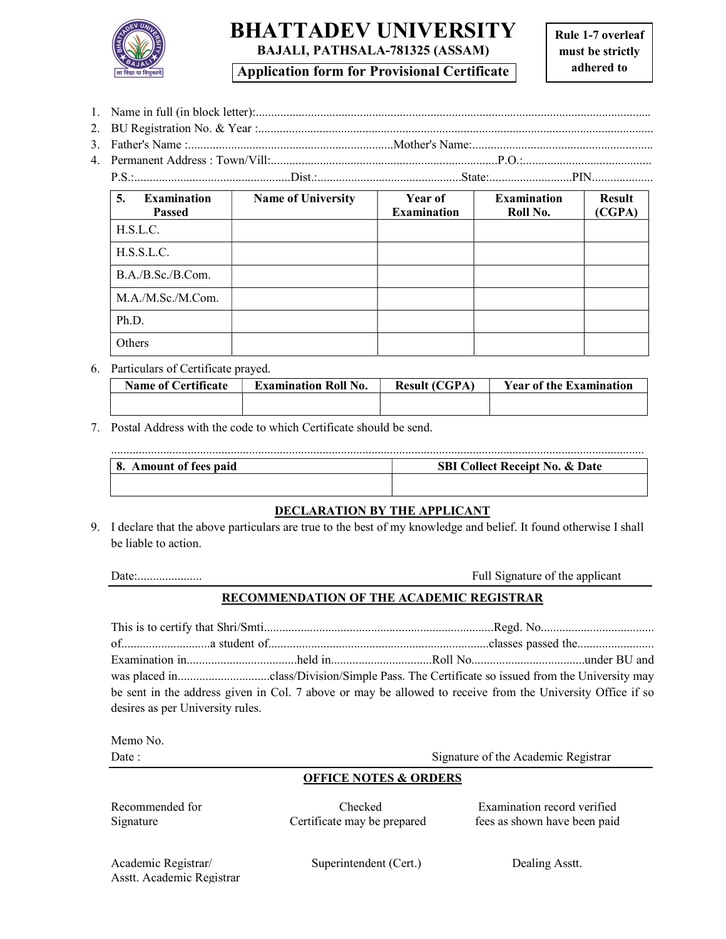

# BHATTADEV UNIVERSITY BAJALI, PATHSALA-781325 (ASSAM)

Application form for Provisional Certificate

1. Name in full (in block letter):................................................................................................................................. 2. BU Registration No. & Year :................................................................................................................................. 3. Father's Name :...................................................................Mother's Name:........................................................... 4. Permanent Address : Town/Vill:..........................................................................P.O.:..........................................

| <b>Examination</b><br>5.<br><b>Passed</b> | <b>Name of University</b> | <b>Year of</b><br><b>Examination</b> | <b>Examination</b><br>Roll No. | <b>Result</b><br>(CGPA) |
|-------------------------------------------|---------------------------|--------------------------------------|--------------------------------|-------------------------|
| H.S.L.C.                                  |                           |                                      |                                |                         |
| H.S.S.L.C.                                |                           |                                      |                                |                         |
| B.A./B.Sc./B.Com.                         |                           |                                      |                                |                         |
| M.A./M.Sc./M.Com.                         |                           |                                      |                                |                         |
| Ph.D.                                     |                           |                                      |                                |                         |
| Others                                    |                           |                                      |                                |                         |

6. Particulars of Certificate prayed.

| <b>Name of Certificate</b> | <b>Examination Roll No.</b> | <b>Result (CGPA)</b> | <b>Year of the Examination</b> |
|----------------------------|-----------------------------|----------------------|--------------------------------|
|                            |                             |                      |                                |
|                            |                             |                      |                                |

7. Postal Address with the code to which Certificate should be send.

| Amount of fees paid<br>о. | <b>Collect Receipt No. &amp; Date</b><br><b>SBI</b> |
|---------------------------|-----------------------------------------------------|
|                           |                                                     |
|                           |                                                     |

### DECLARATION BY THE APPLICANT

9. I declare that the above particulars are true to the best of my knowledge and belief. It found otherwise I shall be liable to action.

Date:..................... Full Signature of the applicant

### RECOMMENDATION OF THE ACADEMIC REGISTRAR

| desires as per University rules. | be sent in the address given in Col. 7 above or may be allowed to receive from the University Office if so |
|----------------------------------|------------------------------------------------------------------------------------------------------------|

Memo No.

Date : Signature of the Academic Registrar

### OFFICE NOTES & ORDERS

Recommended for Checked Examination record verified Signature Certificate may be prepared fees as shown have been paid

Academic Registrar/ Superintendent (Cert.) Dealing Asstt. Asstt. Academic Registrar